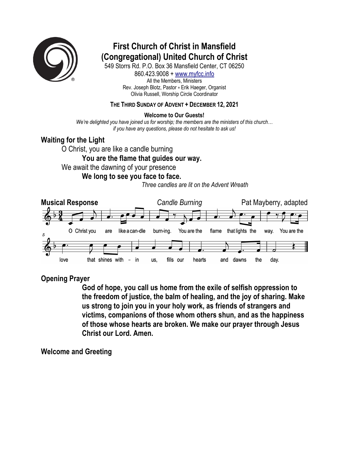

# **First Church of Christ in Mansfield (Congregational) United Church of Christ**

549 Storrs Rd. P.O. Box 36 Mansfield Center, CT 06250 860.423.9008 + www.myfcc.info All the Members, Ministers Rev. Joseph Blotz, Pastor + Erik Haeger, Organist Olivia Russell, Worship Circle Coordinator

### **THE THIRD SUNDAY OF ADVENT + DECEMBER 12, 2021**

**Welcome to Our Guests!**

*We're delighted you have joined us for worship; the members are the ministers of this church… if you have any questions, please do not hesitate to ask us!*

### **Waiting for the Light**

O Christ, you are like a candle burning **You are the flame that guides our way.**  We await the dawning of your presence **We long to see you face to face.** 

*Three candles are lit on the Advent Wreath*



### **Opening Prayer**

**God of hope, you call us home from the exile of selfish oppression to the freedom of justice, the balm of healing, and the joy of sharing. Make us strong to join you in your holy work, as friends of strangers and victims, companions of those whom others shun, and as the happiness of those whose hearts are broken. We make our prayer through Jesus Christ our Lord. Amen.** 

### **Welcome and Greeting**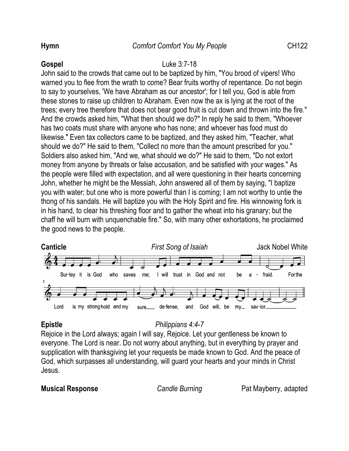### **Gospel** Luke 3:7-18

John said to the crowds that came out to be baptized by him, "You brood of vipers! Who warned you to flee from the wrath to come? Bear fruits worthy of repentance. Do not begin to say to yourselves, 'We have Abraham as our ancestor'; for I tell you, God is able from these stones to raise up children to Abraham. Even now the ax is lying at the root of the trees; every tree therefore that does not bear good fruit is cut down and thrown into the fire." And the crowds asked him, "What then should we do?" In reply he said to them, "Whoever has two coats must share with anyone who has none; and whoever has food must do likewise." Even tax collectors came to be baptized, and they asked him, "Teacher, what should we do?" He said to them, "Collect no more than the amount prescribed for you." Soldiers also asked him, "And we, what should we do?" He said to them, "Do not extort money from anyone by threats or false accusation, and be satisfied with your wages." As the people were filled with expectation, and all were questioning in their hearts concerning John, whether he might be the Messiah, John answered all of them by saying, "I baptize you with water; but one who is more powerful than I is coming; I am not worthy to untie the thong of his sandals. He will baptize you with the Holy Spirit and fire. His winnowing fork is in his hand, to clear his threshing floor and to gather the wheat into his granary; but the chaff he will burn with unquenchable fire." So, with many other exhortations, he proclaimed the good news to the people.



## **Epistle** *Philippians 4:4-7*

Rejoice in the Lord always; again I will say, Rejoice. Let your gentleness be known to everyone. The Lord is near. Do not worry about anything, but in everything by prayer and supplication with thanksgiving let your requests be made known to God. And the peace of God, which surpasses all understanding, will guard your hearts and your minds in Christ Jesus.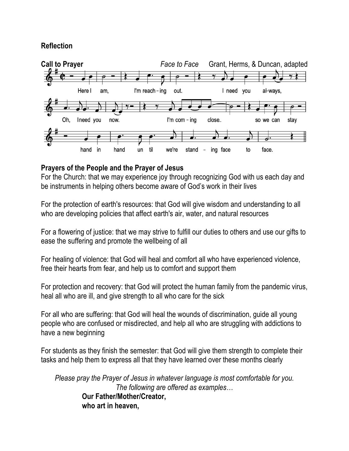### **Reflection**



### **Prayers of the People and the Prayer of Jesus**

For the Church: that we may experience joy through recognizing God with us each day and be instruments in helping others become aware of God's work in their lives

For the protection of earth's resources: that God will give wisdom and understanding to all who are developing policies that affect earth's air, water, and natural resources

For a flowering of justice: that we may strive to fulfill our duties to others and use our gifts to ease the suffering and promote the wellbeing of all

For healing of violence: that God will heal and comfort all who have experienced violence, free their hearts from fear, and help us to comfort and support them

For protection and recovery: that God will protect the human family from the pandemic virus, heal all who are ill, and give strength to all who care for the sick

For all who are suffering: that God will heal the wounds of discrimination, guide all young people who are confused or misdirected, and help all who are struggling with addictions to have a new beginning

For students as they finish the semester: that God will give them strength to complete their tasks and help them to express all that they have learned over these months clearly

*Please pray the Prayer of Jesus in whatever language is most comfortable for you. The following are offered as examples…* **Our Father/Mother/Creator, who art in heaven,**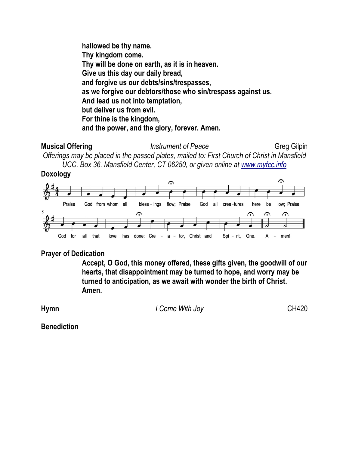**hallowed be thy name. Thy kingdom come. Thy will be done on earth, as it is in heaven. Give us this day our daily bread, and forgive us our debts/sins/trespasses, as we forgive our debtors/those who sin/trespass against us. And lead us not into temptation, but deliver us from evil. For thine is the kingdom, and the power, and the glory, forever. Amen.**

**Musical Offering** *Instrument of Peace* Greg Gilpin *Offerings may be placed in the passed plates, mailed to: First Church of Christ in Mansfield UCC. Box 36. Mansfield Center, CT 06250, or given online at www.myfcc.info*





### **Prayer of Dedication**

**Accept, O God, this money offered, these gifts given, the goodwill of our hearts, that disappointment may be turned to hope, and worry may be turned to anticipation, as we await with wonder the birth of Christ. Amen.**

**Hymn** CH420

**Benediction**